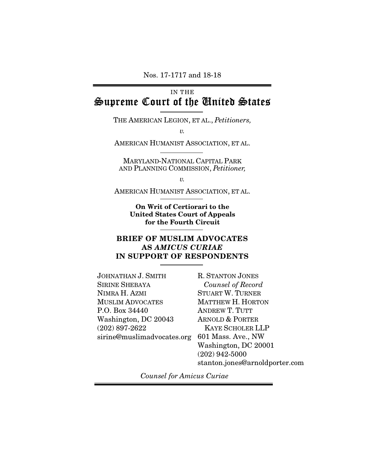Nos. 17-1717 and 18-18

# IN THE Supreme Court of the United States

THE AMERICAN LEGION, ET AL., *Petitioners,* 

 *v.* 

AMERICAN HUMANIST ASSOCIATION, ET AL.

MARYLAND-NATIONAL CAPITAL PARK AND PLANNING COMMISSION, *Petitioner,* 

 *v.* 

AMERICAN HUMANIST ASSOCIATION, ET AL.

On Writ of Certiorari to the United States Court of Appeals for the Fourth Circuit

### BRIEF OF MUSLIM ADVOCATES AS AMICUS CURIAE IN SUPPORT OF RESPONDENTS

JOHNATHAN J. SMITH SIRINE SHEBAYA NIMRA H. AZMI MUSLIM ADVOCATES P.O. Box 34440 Washington, DC 20043 (202) 897-2622 sirine@muslimadvocates.org 601 Mass. Ave., NW

R. STANTON JONES *Counsel of Record*  STUART W. TURNER MATTHEW H. HORTON ANDREW T. TUTT ARNOLD & PORTER KAYE SCHOLER LLP Washington, DC 20001 (202) 942-5000 stanton.jones@arnoldporter.com

*Counsel for Amicus Curiae*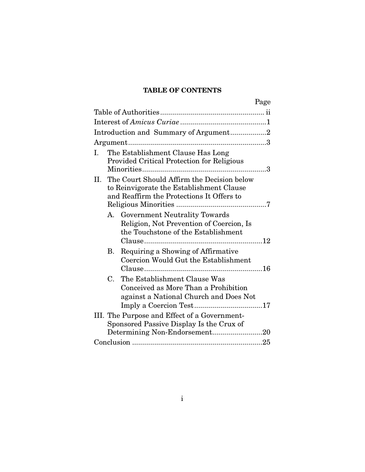## TABLE OF CONTENTS

| Page                                                                                                                                            |
|-------------------------------------------------------------------------------------------------------------------------------------------------|
|                                                                                                                                                 |
|                                                                                                                                                 |
| Introduction and Summary of Argument2                                                                                                           |
|                                                                                                                                                 |
| The Establishment Clause Has Long<br>L<br><b>Provided Critical Protection for Religious</b>                                                     |
| The Court Should Affirm the Decision below<br>II.<br>to Reinvigorate the Establishment Clause<br>and Reaffirm the Protections It Offers to      |
| A. Government Neutrality Towards<br>Religion, Not Prevention of Coercion, Is<br>the Touchstone of the Establishment                             |
| Requiring a Showing of Affirmative<br><b>B.</b><br>Coercion Would Gut the Establishment                                                         |
| The Establishment Clause Was<br>C.<br>Conceived as More Than a Prohibition<br>against a National Church and Does Not<br>Imply a Coercion Test17 |
| III. The Purpose and Effect of a Government-<br>Sponsored Passive Display Is the Crux of<br>Determining Non-Endorsement20                       |
|                                                                                                                                                 |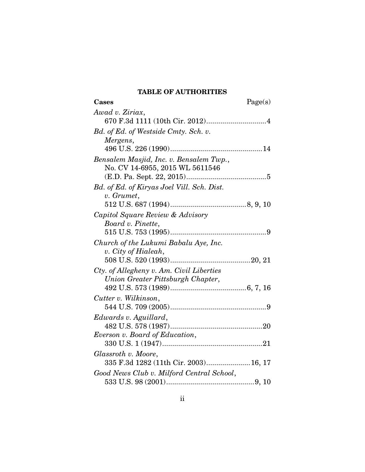## TABLE OF AUTHORITIES

| Cases                                      | Page(s) |
|--------------------------------------------|---------|
| Awad v. Ziriax,                            |         |
|                                            |         |
| Bd. of Ed. of Westside Cmty. Sch. v.       |         |
| Mergens,                                   |         |
|                                            |         |
| Bensalem Masjid, Inc. v. Bensalem Twp.,    |         |
| No. CV 14-6955, 2015 WL 5611546            |         |
|                                            |         |
| Bd. of Ed. of Kiryas Joel Vill. Sch. Dist. |         |
| v. Grumet,                                 |         |
|                                            |         |
| Capitol Square Review & Advisory           |         |
| Board v. Pinette,                          |         |
|                                            |         |
| Church of the Lukumi Babalu Aye, Inc.      |         |
| v. City of Hialeah,                        |         |
|                                            |         |
| Cty. of Allegheny v. Am. Civil Liberties   |         |
| Union Greater Pittsburgh Chapter,          |         |
|                                            |         |
| Cutter v. Wilkinson,                       |         |
|                                            |         |
| Edwards v. Aguillard,                      |         |
|                                            |         |
| Everson v. Board of Education,             |         |
|                                            |         |
| Glassroth v. Moore,                        |         |
| 335 F.3d 1282 (11th Cir. 2003) 16, 17      |         |
| Good News Club v. Milford Central School,  |         |
|                                            |         |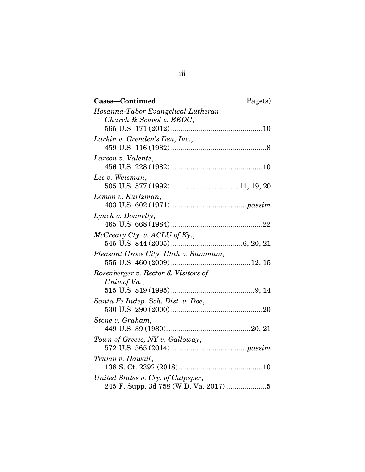| Cases-Continued<br>Page(s)           |
|--------------------------------------|
| Hosanna-Tabor Evangelical Lutheran   |
| Church & School v. EEOC,             |
|                                      |
| Larkin v. Grenden's Den, Inc.,       |
|                                      |
| Larson v. Valente,                   |
|                                      |
| Lee v. Weisman,                      |
|                                      |
| Lemon v. Kurtzman,                   |
|                                      |
| Lynch v. Donnelly,                   |
|                                      |
| $McCreary Cty.$ v. $ACLU$ of Ky.,    |
|                                      |
| Pleasant Grove City, Utah v. Summum, |
|                                      |
| Rosenberger v. Rector & Visitors of  |
| Univ.of $Va.$ ,                      |
|                                      |
| Santa Fe Indep. Sch. Dist. v. Doe,   |
|                                      |
| Stone v. Graham,                     |
|                                      |
| Town of Greece, NY v. Galloway,      |
|                                      |
| Trump v. Hawaii,                     |
|                                      |
| United States v. Cty. of Culpeper,   |
|                                      |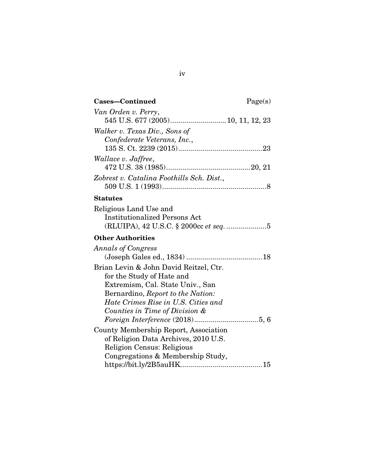| Cases-Continued                                                                                                                                                                                                       | Page(s) |
|-----------------------------------------------------------------------------------------------------------------------------------------------------------------------------------------------------------------------|---------|
| Van Orden v. Perry,<br>545 U.S. 677 (2005) 10, 11, 12, 23                                                                                                                                                             |         |
| Walker v. Texas Div., Sons of                                                                                                                                                                                         |         |
| Confederate Veterans, Inc.,                                                                                                                                                                                           |         |
| Wallace v. Jaffree,                                                                                                                                                                                                   |         |
| Zobrest v. Catalina Foothills Sch. Dist.,                                                                                                                                                                             |         |
| <b>Statutes</b>                                                                                                                                                                                                       |         |
| Religious Land Use and<br><b>Institutionalized Persons Act</b><br>(RLUIPA), 42 U.S.C. § 2000cc et seq. 5                                                                                                              |         |
| <b>Other Authorities</b>                                                                                                                                                                                              |         |
| <b>Annals of Congress</b>                                                                                                                                                                                             |         |
| Brian Levin & John David Reitzel, Ctr.<br>for the Study of Hate and<br>Extremism, Cal. State Univ., San<br>Bernardino, Report to the Nation:<br>Hate Crimes Rise in U.S. Cities and<br>Counties in Time of Division & |         |
| County Membership Report, Association<br>of Religion Data Archives, 2010 U.S.<br>Religion Census: Religious<br>Congregations & Membership Study,                                                                      |         |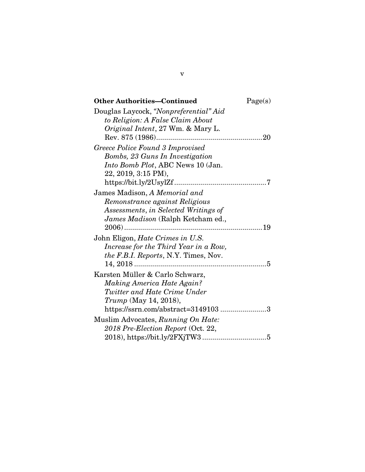| <b>Other Authorities-Continued</b>          | Page(s) |
|---------------------------------------------|---------|
| Douglas Laycock, "Nonpreferential" Aid      |         |
| to Religion: A False Claim About            |         |
| Original Intent, 27 Wm. & Mary L.           |         |
|                                             |         |
| Greece Police Found 3 Improvised            |         |
| Bombs, 23 Guns In Investigation             |         |
| Into Bomb Plot, ABC News 10 (Jan.           |         |
| 22, 2019, 3:15 PM),                         |         |
|                                             |         |
| James Madison, A Memorial and               |         |
| Remonstrance against Religious              |         |
| Assessments, in Selected Writings of        |         |
| James Madison (Ralph Ketcham ed.,           |         |
|                                             |         |
| John Eligon, <i>Hate Crimes in U.S.</i>     |         |
| Increase for the Third Year in a Row,       |         |
| <i>the F.B.I. Reports, N.Y. Times, Nov.</i> |         |
|                                             |         |
| Karsten Müller & Carlo Schwarz,             |         |
| Making America Hate Again?                  |         |
| Twitter and Hate Crime Under                |         |
| <i>Trump</i> (May 14, 2018),                |         |
| https://ssrn.com/abstract=31491033          |         |
| Muslim Advocates, Running On Hate:          |         |
| 2018 Pre-Election Report (Oct. 22,          |         |
|                                             |         |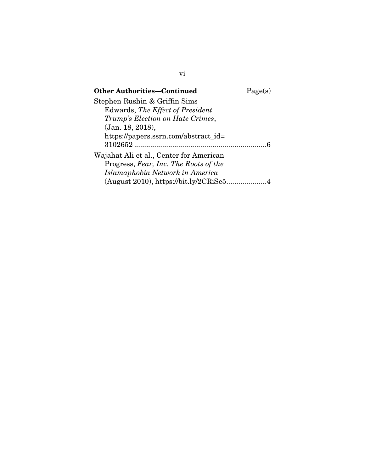| <b>Other Authorities-Continued</b>      | Page(s) |
|-----------------------------------------|---------|
| Stephen Rushin & Griffin Sims           |         |
| Edwards, The Effect of President        |         |
| Trump's Election on Hate Crimes,        |         |
| (Jan. 18, 2018),                        |         |
| https://papers.ssrn.com/abstract_id=    |         |
| $3102652$                               |         |
| Wajahat Ali et al., Center for American |         |
| Progress, Fear, Inc. The Roots of the   |         |
| Islamaphobia Network in America         |         |
| (August 2010), https://bit.ly/2CRiSe54  |         |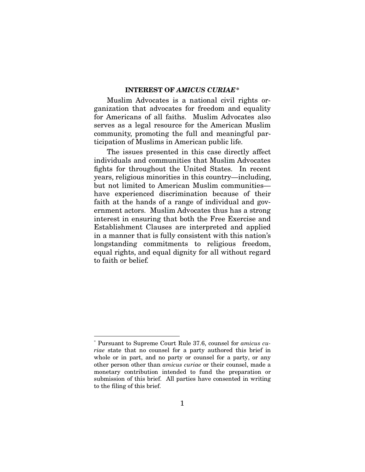#### INTEREST OF AMICUS CURIAE\*

Muslim Advocates is a national civil rights organization that advocates for freedom and equality for Americans of all faiths. Muslim Advocates also serves as a legal resource for the American Muslim community, promoting the full and meaningful participation of Muslims in American public life.

The issues presented in this case directly affect individuals and communities that Muslim Advocates fights for throughout the United States. In recent years, religious minorities in this country—including, but not limited to American Muslim communities have experienced discrimination because of their faith at the hands of a range of individual and government actors. Muslim Advocates thus has a strong interest in ensuring that both the Free Exercise and Establishment Clauses are interpreted and applied in a manner that is fully consistent with this nation's longstanding commitments to religious freedom, equal rights, and equal dignity for all without regard to faith or belief.

 $\overline{a}$ \* Pursuant to Supreme Court Rule 37.6, counsel for *amicus curiae* state that no counsel for a party authored this brief in whole or in part, and no party or counsel for a party, or any other person other than *amicus curiae* or their counsel, made a monetary contribution intended to fund the preparation or submission of this brief. All parties have consented in writing to the filing of this brief.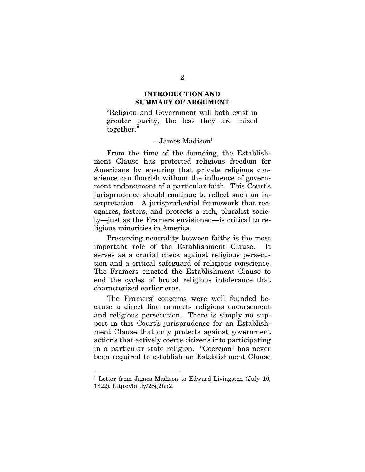#### INTRODUCTION AND SUMMARY OF ARGUMENT

"Religion and Government will both exist in greater purity, the less they are mixed together."

#### $\sim$ James Madison $<sup>1</sup>$ </sup>

From the time of the founding, the Establishment Clause has protected religious freedom for Americans by ensuring that private religious conscience can flourish without the influence of government endorsement of a particular faith. This Court's jurisprudence should continue to reflect such an interpretation. A jurisprudential framework that recognizes, fosters, and protects a rich, pluralist society—just as the Framers envisioned—is critical to religious minorities in America.

Preserving neutrality between faiths is the most important role of the Establishment Clause. It serves as a crucial check against religious persecution and a critical safeguard of religious conscience. The Framers enacted the Establishment Clause to end the cycles of brutal religious intolerance that characterized earlier eras.

The Framers' concerns were well founded because a direct line connects religious endorsement and religious persecution. There is simply no support in this Court's jurisprudence for an Establishment Clause that only protects against government actions that actively coerce citizens into participating in a particular state religion. "Coercion" has never been required to establish an Establishment Clause

 $\overline{a}$ 

<sup>&</sup>lt;sup>1</sup> Letter from James Madison to Edward Livingston (July 10, 1822), https://bit.ly/2Sg2hu2.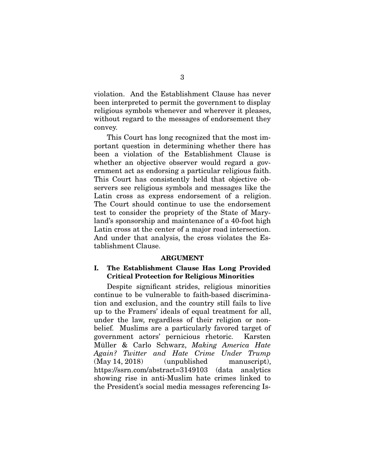violation. And the Establishment Clause has never been interpreted to permit the government to display religious symbols whenever and wherever it pleases, without regard to the messages of endorsement they convey.

This Court has long recognized that the most important question in determining whether there has been a violation of the Establishment Clause is whether an objective observer would regard a government act as endorsing a particular religious faith. This Court has consistently held that objective observers see religious symbols and messages like the Latin cross as express endorsement of a religion. The Court should continue to use the endorsement test to consider the propriety of the State of Maryland's sponsorship and maintenance of a 40-foot high Latin cross at the center of a major road intersection. And under that analysis, the cross violates the Establishment Clause.

#### ARGUMENT

#### I. The Establishment Clause Has Long Provided Critical Protection for Religious Minorities

Despite significant strides, religious minorities continue to be vulnerable to faith-based discrimination and exclusion, and the country still fails to live up to the Framers' ideals of equal treatment for all, under the law, regardless of their religion or nonbelief. Muslims are a particularly favored target of government actors' pernicious rhetoric. Karsten Müller & Carlo Schwarz, *Making America Hate Again? Twitter and Hate Crime Under Trump* (May 14, 2018) (unpublished manuscript), https://ssrn.com/abstract=3149103 (data analytics showing rise in anti-Muslim hate crimes linked to the President's social media messages referencing Is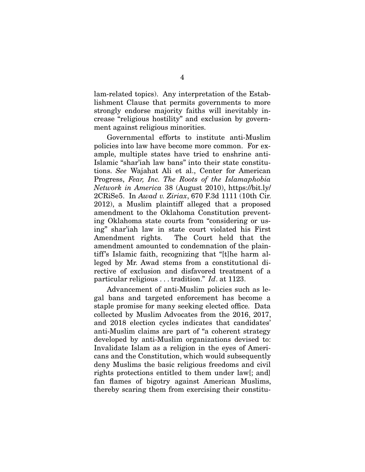lam-related topics). Any interpretation of the Establishment Clause that permits governments to more strongly endorse majority faiths will inevitably increase "religious hostility" and exclusion by government against religious minorities.

Governmental efforts to institute anti-Muslim policies into law have become more common. For example, multiple states have tried to enshrine anti-Islamic "shar'iah law bans" into their state constitutions. *See* Wajahat Ali et al., Center for American Progress, *Fear, Inc. The Roots of the Islamaphobia Network in America* 38 (August 2010), https://bit.ly/ 2CRiSe5. In *Awad v. Ziriax*, 670 F.3d 1111 (10th Cir. 2012), a Muslim plaintiff alleged that a proposed amendment to the Oklahoma Constitution preventing Oklahoma state courts from "considering or using" shar'iah law in state court violated his First Amendment rights. The Court held that the amendment amounted to condemnation of the plaintiff's Islamic faith, recognizing that "[t]he harm alleged by Mr. Awad stems from a constitutional directive of exclusion and disfavored treatment of a particular religious . . . tradition." *Id*. at 1123.

Advancement of anti-Muslim policies such as legal bans and targeted enforcement has become a staple promise for many seeking elected office. Data collected by Muslim Advocates from the 2016, 2017, and 2018 election cycles indicates that candidates' anti-Muslim claims are part of "a coherent strategy developed by anti-Muslim organizations devised to: Invalidate Islam as a religion in the eyes of Americans and the Constitution, which would subsequently deny Muslims the basic religious freedoms and civil rights protections entitled to them under law[; and] fan flames of bigotry against American Muslims, thereby scaring them from exercising their constitu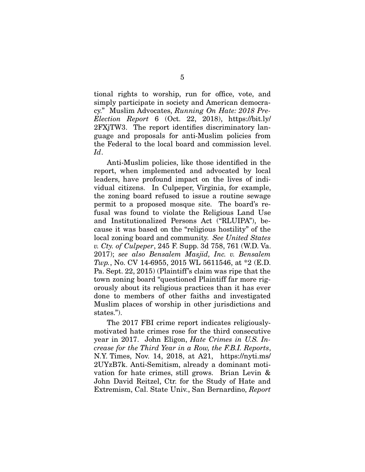tional rights to worship, run for office, vote, and simply participate in society and American democracy." Muslim Advocates, *Running On Hate: 2018 Pre-Election Report* 6 (Oct. 22, 2018), https://bit.ly/ 2FXjTW3. The report identifies discriminatory language and proposals for anti-Muslim policies from the Federal to the local board and commission level. *Id*.

Anti-Muslim policies, like those identified in the report, when implemented and advocated by local leaders, have profound impact on the lives of individual citizens. In Culpeper, Virginia, for example, the zoning board refused to issue a routine sewage permit to a proposed mosque site. The board's refusal was found to violate the Religious Land Use and Institutionalized Persons Act ("RLUIPA"), because it was based on the "religious hostility" of the local zoning board and community. *See United States v. Cty. of Culpeper*, 245 F. Supp. 3d 758, 761 (W.D. Va. 2017); *see also Bensalem Masjid, Inc. v. Bensalem Twp.*, No. CV 14-6955, 2015 WL 5611546, at \*2 (E.D. Pa. Sept. 22, 2015) (Plaintiff's claim was ripe that the town zoning board "questioned Plaintiff far more rigorously about its religious practices than it has ever done to members of other faiths and investigated Muslim places of worship in other jurisdictions and states.").

The 2017 FBI crime report indicates religiouslymotivated hate crimes rose for the third consecutive year in 2017. John Eligon, *Hate Crimes in U.S. Increase for the Third Year in a Row, the F.B.I. Reports*, N.Y. Times, Nov. 14, 2018, at A21, https://nyti.ms/ 2UYzB7k. Anti-Semitism, already a dominant motivation for hate crimes, still grows. Brian Levin & John David Reitzel, Ctr. for the Study of Hate and Extremism, Cal. State Univ., San Bernardino, *Report*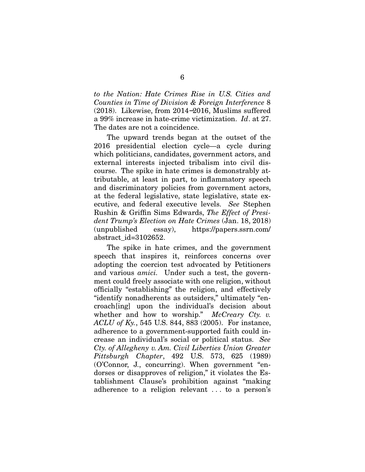*to the Nation: Hate Crimes Rise in U.S. Cities and Counties in Time of Division & Foreign Interference* 8 (2018). Likewise, from 2014−2016, Muslims suffered a 99% increase in hate-crime victimization. *Id*. at 27. The dates are not a coincidence.

The upward trends began at the outset of the 2016 presidential election cycle—a cycle during which politicians, candidates, government actors, and external interests injected tribalism into civil discourse. The spike in hate crimes is demonstrably attributable, at least in part, to inflammatory speech and discriminatory policies from government actors, at the federal legislative, state legislative, state executive, and federal executive levels. *See* Stephen Rushin & Griffin Sims Edwards, *The Effect of President Trump's Election on Hate Crimes* (Jan. 18, 2018) (unpublished essay), https://papers.ssrn.com/ abstract\_id=3102652.

The spike in hate crimes, and the government speech that inspires it, reinforces concerns over adopting the coercion test advocated by Petitioners and various *amici.* Under such a test, the government could freely associate with one religion, without officially "establishing" the religion, and effectively "identify nonadherents as outsiders," ultimately "encroach[ing] upon the individual's decision about whether and how to worship." *McCreary Cty. v. ACLU of Ky.*, 545 U.S. 844, 883 (2005). For instance, adherence to a government-supported faith could increase an individual's social or political status. *See Cty. of Allegheny v. Am. Civil Liberties Union Greater Pittsburgh Chapter*, 492 U.S. 573, 625 (1989) (O'Connor, J., concurring). When government "endorses or disapproves of religion," it violates the Establishment Clause's prohibition against "making adherence to a religion relevant . . . to a person's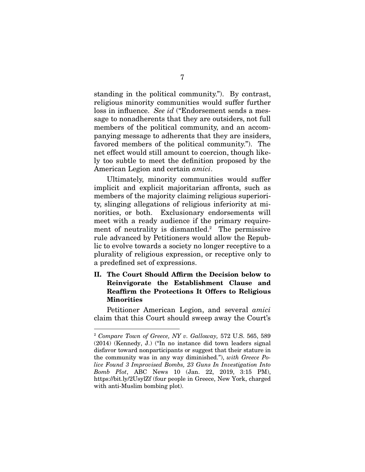standing in the political community."). By contrast, religious minority communities would suffer further loss in influence. *See id* ("Endorsement sends a message to nonadherents that they are outsiders, not full members of the political community, and an accompanying message to adherents that they are insiders, favored members of the political community."). The net effect would still amount to coercion, though likely too subtle to meet the definition proposed by the American Legion and certain *amici*.

Ultimately, minority communities would suffer implicit and explicit majoritarian affronts, such as members of the majority claiming religious superiority, slinging allegations of religious inferiority at minorities, or both. Exclusionary endorsements will meet with a ready audience if the primary requirement of neutrality is dismantled.<sup>2</sup> The permissive rule advanced by Petitioners would allow the Republic to evolve towards a society no longer receptive to a plurality of religious expression, or receptive only to a predefined set of expressions.

### II. The Court Should Affirm the Decision below to Reinvigorate the Establishment Clause and Reaffirm the Protections It Offers to Religious Minorities

Petitioner American Legion, and several *amici* claim that this Court should sweep away the Court's

 $\overline{a}$ 

<sup>2</sup> *Compare Town of Greece, NY v. Galloway,* 572 U.S. 565, 589 (2014) (Kennedy, J.) ("In no instance did town leaders signal disfavor toward nonparticipants or suggest that their stature in the community was in any way diminished."), *with Greece Police Found 3 Improvised Bombs, 23 Guns In Investigation Into Bomb Plot*, ABC News 10 (Jan. 22, 2019, 3:15 PM), https://bit.ly/2UsylZf (four people in Greece, New York, charged with anti-Muslim bombing plot).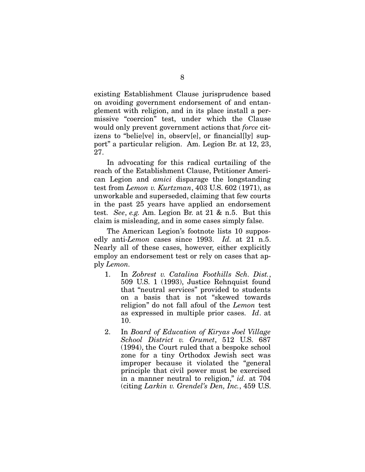existing Establishment Clause jurisprudence based on avoiding government endorsement of and entanglement with religion, and in its place install a permissive "coercion" test, under which the Clause would only prevent government actions that *force* citizens to "belie[ve] in, observ[e], or financial[ly] support" a particular religion. Am. Legion Br. at 12, 23, 27.

In advocating for this radical curtailing of the reach of the Establishment Clause, Petitioner American Legion and *amici* disparage the longstanding test from *Lemon v. Kurtzman*, 403 U.S. 602 (1971), as unworkable and superseded, claiming that few courts in the past 25 years have applied an endorsement test. *See*, *e.g.* Am. Legion Br. at 21 & n.5. But this claim is misleading, and in some cases simply false.

The American Legion's footnote lists 10 supposedly anti-*Lemon* cases since 1993. *Id.* at 21 n.5. Nearly all of these cases, however, either explicitly employ an endorsement test or rely on cases that apply *Lemon.* 

- 1. In *Zobrest v. Catalina Foothills Sch. Dist.*, 509 U.S. 1 (1993), Justice Rehnquist found that "neutral services" provided to students on a basis that is not "skewed towards religion" do not fall afoul of the *Lemon* test as expressed in multiple prior cases. *Id*. at 10.
- 2. In *Board of Education of Kiryas Joel Village School District v. Grumet*, 512 U.S. 687 (1994), the Court ruled that a bespoke school zone for a tiny Orthodox Jewish sect was improper because it violated the "general principle that civil power must be exercised in a manner neutral to religion," *id.* at 704 (citing *Larkin v. Grendel's Den, Inc.*, 459 U.S.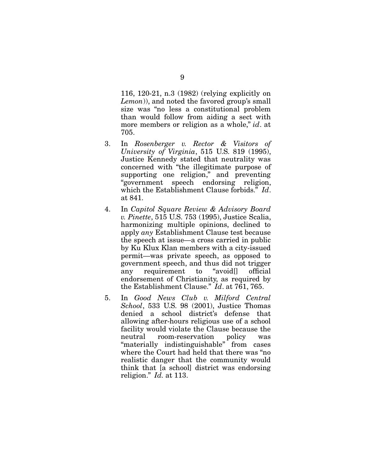116, 120-21, n.3 (1982) (relying explicitly on *Lemon*)), and noted the favored group's small size was "no less a constitutional problem than would follow from aiding a sect with more members or religion as a whole," *id*. at 705.

- 3. In *Rosenberger v. Rector & Visitors of University of Virginia*, 515 U.S. 819 (1995), Justice Kennedy stated that neutrality was concerned with "the illegitimate purpose of supporting one religion," and preventing "government speech endorsing religion, which the Establishment Clause forbids." *Id*. at 841.
- 4. In *Capitol Square Review & Advisory Board v. Pinette*, 515 U.S. 753 (1995), Justice Scalia, harmonizing multiple opinions, declined to apply *any* Establishment Clause test because the speech at issue—a cross carried in public by Ku Klux Klan members with a city-issued permit—was private speech, as opposed to government speech, and thus did not trigger any requirement to "avoid[] official endorsement of Christianity, as required by the Establishment Clause." *Id*. at 761, 765.
- 5. In *Good News Club v. Milford Central School*, 533 U.S. 98 (2001), Justice Thomas denied a school district's defense that allowing after-hours religious use of a school facility would violate the Clause because the neutral room-reservation policy was "materially indistinguishable" from cases where the Court had held that there was "no realistic danger that the community would think that [a school] district was endorsing religion." *Id.* at 113.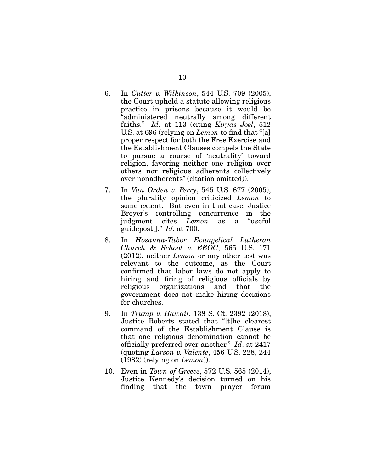- 6. In *Cutter v. Wilkinson*, 544 U.S. 709 (2005), the Court upheld a statute allowing religious practice in prisons because it would be "administered neutrally among different faiths." *Id.* at 113 (citing *Kiryas Joel*, 512 U.S. at 696 (relying on *Lemon* to find that "[a] proper respect for both the Free Exercise and the Establishment Clauses compels the State to pursue a course of 'neutrality' toward religion, favoring neither one religion over others nor religious adherents collectively over nonadherents" (citation omitted)).
- 7. In *Van Orden v. Perry*, 545 U.S. 677 (2005), the plurality opinion criticized *Lemon* to some extent. But even in that case, Justice Breyer's controlling concurrence in the judgment cites *Lemon* as a "useful guidepost[]." *Id.* at 700.
- 8. In *Hosanna-Tabor Evangelical Lutheran Church & School v. EEOC*, 565 U.S. 171 (2012), neither *Lemon* or any other test was relevant to the outcome, as the Court confirmed that labor laws do not apply to hiring and firing of religious officials by religious organizations and that the government does not make hiring decisions for churches.
- 9. In *Trump v. Hawaii*, 138 S. Ct. 2392 (2018), Justice Roberts stated that "[t]he clearest command of the Establishment Clause is that one religious denomination cannot be officially preferred over another." *Id*. at 2417 (quoting *Larson v. Valente*, 456 U.S. 228, 244 (1982) (relying on *Lemon*)).
- 10. Even in *Town of Greece*, 572 U.S. 565 (2014), Justice Kennedy's decision turned on his finding that the town prayer forum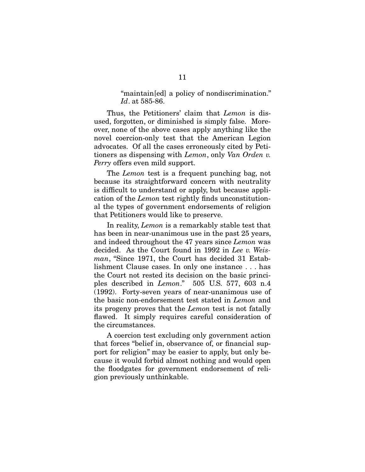#### "maintain[ed] a policy of nondiscrimination." *Id*. at 585-86.

Thus, the Petitioners' claim that *Lemon* is disused, forgotten, or diminished is simply false. Moreover, none of the above cases apply anything like the novel coercion-only test that the American Legion advocates. Of all the cases erroneously cited by Petitioners as dispensing with *Lemon*, only *Van Orden v. Perry* offers even mild support.

The *Lemon* test is a frequent punching bag, not because its straightforward concern with neutrality is difficult to understand or apply, but because application of the *Lemon* test rightly finds unconstitutional the types of government endorsements of religion that Petitioners would like to preserve.

In reality, *Lemon* is a remarkably stable test that has been in near-unanimous use in the past 25 years, and indeed throughout the 47 years since *Lemon* was decided. As the Court found in 1992 in *Lee v. Weisman*, "Since 1971, the Court has decided 31 Establishment Clause cases. In only one instance . . . has the Court not rested its decision on the basic principles described in *Lemon*." 505 U.S. 577, 603 n.4 (1992). Forty-seven years of near-unanimous use of the basic non-endorsement test stated in *Lemon* and its progeny proves that the *Lemon* test is not fatally flawed. It simply requires careful consideration of the circumstances.

A coercion test excluding only government action that forces "belief in, observance of, or financial support for religion" may be easier to apply, but only because it would forbid almost nothing and would open the floodgates for government endorsement of religion previously unthinkable.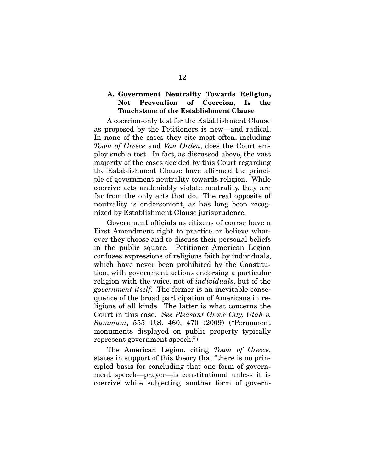### A. Government Neutrality Towards Religion, Not Prevention of Coercion, Is the Touchstone of the Establishment Clause

A coercion-only test for the Establishment Clause as proposed by the Petitioners is new—and radical. In none of the cases they cite most often, including *Town of Greece* and *Van Orden*, does the Court employ such a test. In fact, as discussed above, the vast majority of the cases decided by this Court regarding the Establishment Clause have affirmed the principle of government neutrality towards religion. While coercive acts undeniably violate neutrality, they are far from the only acts that do. The real opposite of neutrality is endorsement, as has long been recognized by Establishment Clause jurisprudence.

Government officials as citizens of course have a First Amendment right to practice or believe whatever they choose and to discuss their personal beliefs in the public square. Petitioner American Legion confuses expressions of religious faith by individuals, which have never been prohibited by the Constitution, with government actions endorsing a particular religion with the voice, not of *individuals*, but of the *government itself*. The former is an inevitable consequence of the broad participation of Americans in religions of all kinds. The latter is what concerns the Court in this case. *See Pleasant Grove City, Utah v. Summum*, 555 U.S. 460, 470 (2009) ("Permanent monuments displayed on public property typically represent government speech.")

The American Legion, citing *Town of Greece*, states in support of this theory that "there is no principled basis for concluding that one form of government speech—prayer—is constitutional unless it is coercive while subjecting another form of govern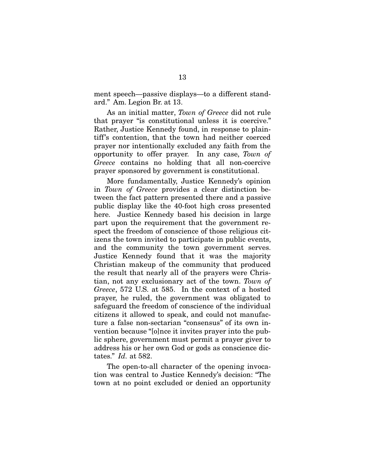ment speech—passive displays—to a different standard." Am. Legion Br. at 13.

As an initial matter, *Town of Greece* did not rule that prayer "is constitutional unless it is coercive." Rather, Justice Kennedy found, in response to plaintiff's contention, that the town had neither coerced prayer nor intentionally excluded any faith from the opportunity to offer prayer. In any case, *Town of Greece* contains no holding that all non-coercive prayer sponsored by government is constitutional.

More fundamentally, Justice Kennedy's opinion in *Town of Greece* provides a clear distinction between the fact pattern presented there and a passive public display like the 40-foot high cross presented here. Justice Kennedy based his decision in large part upon the requirement that the government respect the freedom of conscience of those religious citizens the town invited to participate in public events, and the community the town government serves. Justice Kennedy found that it was the majority Christian makeup of the community that produced the result that nearly all of the prayers were Christian, not any exclusionary act of the town. *Town of Greece*, 572 U.S. at 585. In the context of a hosted prayer, he ruled, the government was obligated to safeguard the freedom of conscience of the individual citizens it allowed to speak, and could not manufacture a false non-sectarian "consensus" of its own invention because "[o]nce it invites prayer into the public sphere, government must permit a prayer giver to address his or her own God or gods as conscience dictates." *Id.* at 582.

The open-to-all character of the opening invocation was central to Justice Kennedy's decision: "The town at no point excluded or denied an opportunity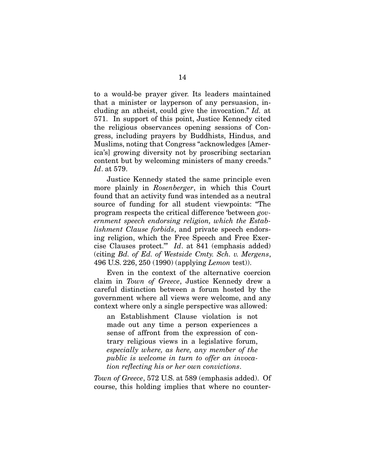to a would-be prayer giver. Its leaders maintained that a minister or layperson of any persuasion, including an atheist, could give the invocation." *Id.* at 571. In support of this point, Justice Kennedy cited the religious observances opening sessions of Congress, including prayers by Buddhists, Hindus, and Muslims, noting that Congress "acknowledges [America's] growing diversity not by proscribing sectarian content but by welcoming ministers of many creeds." *Id*. at 579.

Justice Kennedy stated the same principle even more plainly in *Rosenberger*, in which this Court found that an activity fund was intended as a neutral source of funding for all student viewpoints: "The program respects the critical difference 'between *government speech endorsing religion, which the Establishment Clause forbids*, and private speech endorsing religion, which the Free Speech and Free Exercise Clauses protect.'" *Id*. at 841 (emphasis added) (citing *Bd. of Ed. of Westside Cmty. Sch. v. Mergens*, 496 U.S. 226, 250 (1990) (applying *Lemon* test)).

Even in the context of the alternative coercion claim in *Town of Greece*, Justice Kennedy drew a careful distinction between a forum hosted by the government where all views were welcome, and any context where only a single perspective was allowed:

an Establishment Clause violation is not made out any time a person experiences a sense of affront from the expression of contrary religious views in a legislative forum, *especially where, as here, any member of the public is welcome in turn to offer an invocation reflecting his or her own convictions*.

*Town of Greece*, 572 U.S. at 589 (emphasis added). Of course, this holding implies that where no counter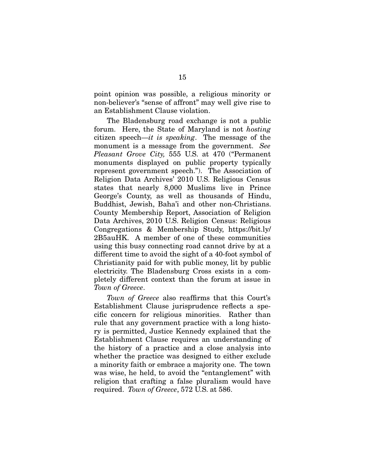point opinion was possible, a religious minority or non-believer's "sense of affront" may well give rise to an Establishment Clause violation.

The Bladensburg road exchange is not a public forum. Here, the State of Maryland is not *hosting* citizen speech—*it is speaking*. The message of the monument is a message from the government. *See Pleasant Grove City,* 555 U.S. at 470 ("Permanent monuments displayed on public property typically represent government speech."). The Association of Religion Data Archives' 2010 U.S. Religious Census states that nearly 8,000 Muslims live in Prince George's County, as well as thousands of Hindu, Buddhist, Jewish, Baha'i and other non-Christians. County Membership Report, Association of Religion Data Archives, 2010 U.S. Religion Census: Religious Congregations & Membership Study, https://bit.ly/ 2B5auHK. A member of one of these communities using this busy connecting road cannot drive by at a different time to avoid the sight of a 40-foot symbol of Christianity paid for with public money, lit by public electricity. The Bladensburg Cross exists in a completely different context than the forum at issue in *Town of Greece*.

*Town of Greece* also reaffirms that this Court's Establishment Clause jurisprudence reflects a specific concern for religious minorities. Rather than rule that any government practice with a long history is permitted, Justice Kennedy explained that the Establishment Clause requires an understanding of the history of a practice and a close analysis into whether the practice was designed to either exclude a minority faith or embrace a majority one. The town was wise, he held, to avoid the "entanglement" with religion that crafting a false pluralism would have required. *Town of Greece*, 572 U.S. at 586.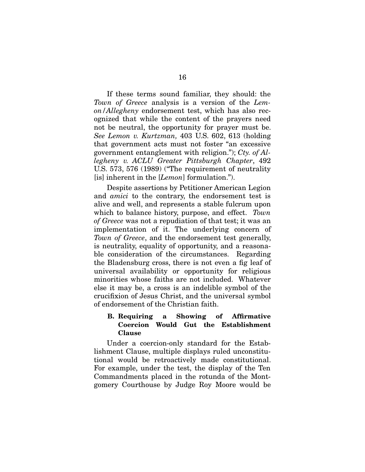If these terms sound familiar, they should: the *Town of Greece* analysis is a version of the *Lemon/Allegheny* endorsement test, which has also recognized that while the content of the prayers need not be neutral, the opportunity for prayer must be. *See Lemon v. Kurtzman,* 403 U.S. 602, 613 (holding that government acts must not foster "an excessive government entanglement with religion."); *Cty. of Allegheny v. ACLU Greater Pittsburgh Chapter*, 492 U.S. 573, 576 (1989) ("The requirement of neutrality [is] inherent in the [*Lemon*] formulation.").

Despite assertions by Petitioner American Legion and *amici* to the contrary, the endorsement test is alive and well, and represents a stable fulcrum upon which to balance history, purpose, and effect. *Town of Greece* was not a repudiation of that test; it was an implementation of it. The underlying concern of *Town of Greece*, and the endorsement test generally, is neutrality, equality of opportunity, and a reasonable consideration of the circumstances. Regarding the Bladensburg cross, there is not even a fig leaf of universal availability or opportunity for religious minorities whose faiths are not included. Whatever else it may be, a cross is an indelible symbol of the crucifixion of Jesus Christ, and the universal symbol of endorsement of the Christian faith.

#### B. Requiring a Showing of Affirmative Coercion Would Gut the Establishment Clause

Under a coercion-only standard for the Establishment Clause, multiple displays ruled unconstitutional would be retroactively made constitutional. For example, under the test, the display of the Ten Commandments placed in the rotunda of the Montgomery Courthouse by Judge Roy Moore would be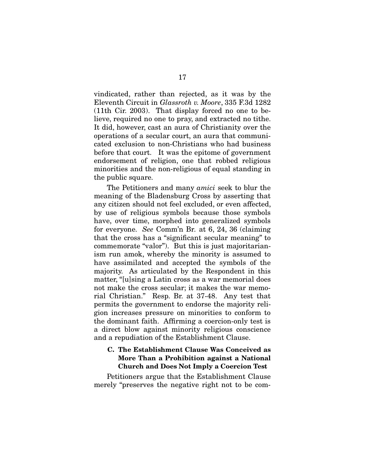vindicated, rather than rejected, as it was by the Eleventh Circuit in *Glassroth v. Moore*, 335 F.3d 1282 (11th Cir. 2003). That display forced no one to believe, required no one to pray, and extracted no tithe. It did, however, cast an aura of Christianity over the operations of a secular court, an aura that communicated exclusion to non-Christians who had business before that court. It was the epitome of government endorsement of religion, one that robbed religious minorities and the non-religious of equal standing in the public square.

The Petitioners and many *amici* seek to blur the meaning of the Bladensburg Cross by asserting that any citizen should not feel excluded, or even affected, by use of religious symbols because those symbols have, over time, morphed into generalized symbols for everyone. *See* Comm'n Br*.* at 6, 24, 36 (claiming that the cross has a "significant secular meaning" to commemorate "valor"). But this is just majoritarianism run amok, whereby the minority is assumed to have assimilated and accepted the symbols of the majority. As articulated by the Respondent in this matter, "[u]sing a Latin cross as a war memorial does not make the cross secular; it makes the war memorial Christian." Resp. Br. at 37-48. Any test that permits the government to endorse the majority religion increases pressure on minorities to conform to the dominant faith. Affirming a coercion-only test is a direct blow against minority religious conscience and a repudiation of the Establishment Clause.

#### C. The Establishment Clause Was Conceived as More Than a Prohibition against a National Church and Does Not Imply a Coercion Test

Petitioners argue that the Establishment Clause merely "preserves the negative right not to be com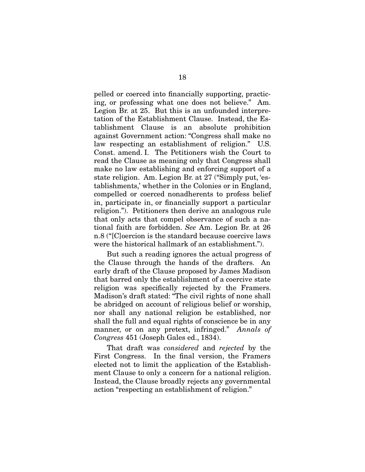pelled or coerced into financially supporting, practicing, or professing what one does not believe." Am. Legion Br. at 25. But this is an unfounded interpretation of the Establishment Clause. Instead, the Establishment Clause is an absolute prohibition against Government action: "Congress shall make no law respecting an establishment of religion." U.S. Const. amend. I. The Petitioners wish the Court to read the Clause as meaning only that Congress shall make no law establishing and enforcing support of a state religion. Am. Legion Br. at 27 ("Simply put, 'establishments,' whether in the Colonies or in England, compelled or coerced nonadherents to profess belief in, participate in, or financially support a particular religion."). Petitioners then derive an analogous rule that only acts that compel observance of such a national faith are forbidden. *See* Am. Legion Br. at 26 n.8 ("[C]oercion is the standard because coercive laws were the historical hallmark of an establishment.").

But such a reading ignores the actual progress of the Clause through the hands of the drafters. An early draft of the Clause proposed by James Madison that barred only the establishment of a coercive state religion was specifically rejected by the Framers. Madison's draft stated: "The civil rights of none shall be abridged on account of religious belief or worship, nor shall any national religion be established, nor shall the full and equal rights of conscience be in any manner, or on any pretext, infringed." *Annals of Congress* 451 (Joseph Gales ed., 1834).

That draft was *considered* and *rejected* by the First Congress. In the final version, the Framers elected not to limit the application of the Establishment Clause to only a concern for a national religion. Instead, the Clause broadly rejects any governmental action "respecting an establishment of religion."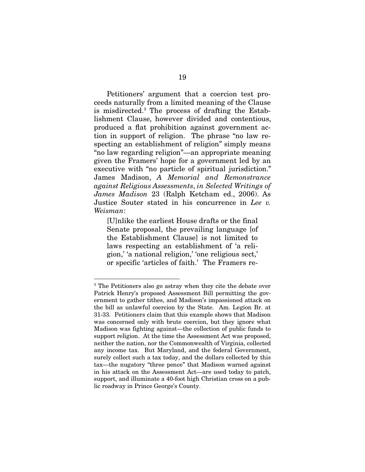Petitioners' argument that a coercion test proceeds naturally from a limited meaning of the Clause is misdirected.<sup>3</sup> The process of drafting the Establishment Clause, however divided and contentious, produced a flat prohibition against government action in support of religion. The phrase "no law respecting an establishment of religion" simply means "no law regarding religion"—an appropriate meaning given the Framers' hope for a government led by an executive with "no particle of spiritual jurisdiction." James Madison, *A Memorial and Remonstrance against Religious Assessments*, *in Selected Writings of James Madison* 23 (Ralph Ketcham ed., 2006). As Justice Souter stated in his concurrence in *Lee v. Weisman*:

[U]nlike the earliest House drafts or the final Senate proposal, the prevailing language [of the Establishment Clause] is not limited to laws respecting an establishment of 'a religion,' 'a national religion,' 'one religious sect,' or specific 'articles of faith.' The Framers re-

 $\overline{a}$ 

<sup>&</sup>lt;sup>3</sup> The Petitioners also go astray when they cite the debate over Patrick Henry's proposed Assessment Bill permitting the government to gather tithes, and Madison's impassioned attack on the bill as unlawful coercion by the State. Am. Legion Br. at 31-33. Petitioners claim that this example shows that Madison was concerned only with brute coercion, but they ignore what Madison was fighting against—the collection of public funds to support religion. At the time the Assessment Act was proposed, neither the nation, nor the Commonwealth of Virginia, collected any income tax. But Maryland, and the federal Government, surely collect such a tax today, and the dollars collected by this tax—the nugatory "three pence" that Madison warned against in his attack on the Assessment Act—are used today to patch, support, and illuminate a 40-foot high Christian cross on a public roadway in Prince George's County.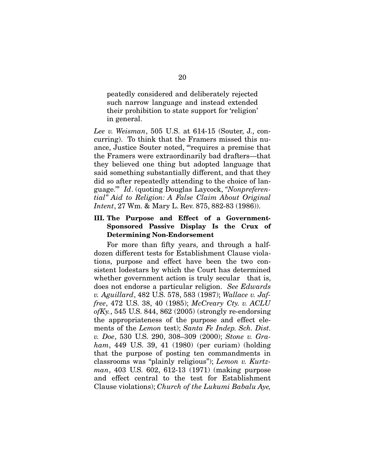peatedly considered and deliberately rejected such narrow language and instead extended their prohibition to state support for 'religion' in general.

*Lee v. Weisman*, 505 U.S. at 614-15 (Souter, J., concurring). To think that the Framers missed this nuance, Justice Souter noted, "'requires a premise that the Framers were extraordinarily bad drafters—that they believed one thing but adopted language that said something substantially different, and that they did so after repeatedly attending to the choice of language.'" *Id*. (quoting Douglas Laycock, *"Nonpreferential" Aid to Religion: A False Claim About Original Intent*, 27 Wm. & Mary L. Rev. 875, 882-83 (1986)).

### III. The Purpose and Effect of a Government-Sponsored Passive Display Is the Crux of Determining Non-Endorsement

For more than fifty years, and through a halfdozen different tests for Establishment Clause violations, purpose and effect have been the two consistent lodestars by which the Court has determined whether government action is truly secular—that is, does not endorse a particular religion. *See Edwards v. Aguillard*, 482 U.S. 578, 583 (1987); *Wallace v. Jaffree*, 472 U.S. 38, 40 (1985); *McCreary Cty. v. ACLU ofKy.*, 545 U.S. 844, 862 (2005) (strongly re-endorsing the appropriateness of the purpose and effect elements of the *Lemon* test); *Santa Fe Indep. Sch. Dist. v. Doe*, 530 U.S. 290, 308–309 (2000); *Stone v. Graham*, 449 U.S. 39, 41 (1980) (per curiam) (holding that the purpose of posting ten commandments in classrooms was "plainly religious"); *Lemon v. Kurtzman*, 403 U.S. 602, 612-13 (1971) (making purpose and effect central to the test for Establishment Clause violations); *Church of the Lukumi Babalu Aye,*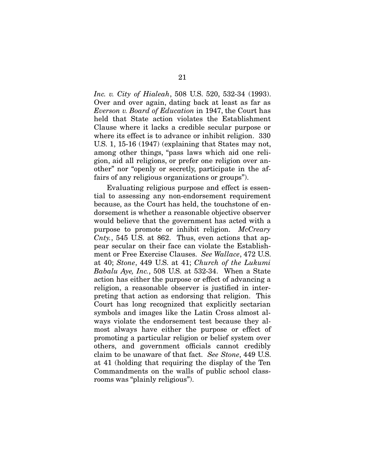*Inc. v. City of Hialeah*, 508 U.S. 520, 532-34 (1993). Over and over again, dating back at least as far as *Everson v. Board of Education* in 1947, the Court has held that State action violates the Establishment Clause where it lacks a credible secular purpose or where its effect is to advance or inhibit religion. 330 U.S. 1, 15-16 (1947) (explaining that States may not, among other things, "pass laws which aid one religion, aid all religions, or prefer one religion over another" nor "openly or secretly, participate in the affairs of any religious organizations or groups").

Evaluating religious purpose and effect is essential to assessing any non-endorsement requirement because, as the Court has held, the touchstone of endorsement is whether a reasonable objective observer would believe that the government has acted with a purpose to promote or inhibit religion. *McCreary Cnty.*, 545 U.S. at 862. Thus, even actions that appear secular on their face can violate the Establishment or Free Exercise Clauses. *See Wallace*, 472 U.S. at 40; *Stone*, 449 U.S. at 41; *Church of the Lukumi Babalu Aye, Inc.*, 508 U.S. at 532-34. When a State action has either the purpose or effect of advancing a religion, a reasonable observer is justified in interpreting that action as endorsing that religion. This Court has long recognized that explicitly sectarian symbols and images like the Latin Cross almost always violate the endorsement test because they almost always have either the purpose or effect of promoting a particular religion or belief system over others, and government officials cannot credibly claim to be unaware of that fact. *See Stone*, 449 U.S. at 41 (holding that requiring the display of the Ten Commandments on the walls of public school classrooms was "plainly religious").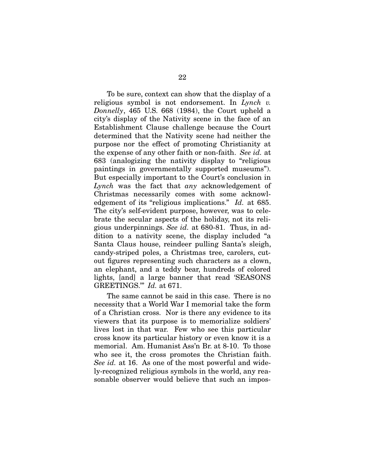To be sure, context can show that the display of a religious symbol is not endorsement. In *Lynch v. Donnelly*, 465 U.S. 668 (1984), the Court upheld a city's display of the Nativity scene in the face of an Establishment Clause challenge because the Court determined that the Nativity scene had neither the purpose nor the effect of promoting Christianity at the expense of any other faith or non-faith. *See id.* at 683 (analogizing the nativity display to "religious paintings in governmentally supported museums"). But especially important to the Court's conclusion in *Lynch* was the fact that *any* acknowledgement of Christmas necessarily comes with some acknowledgement of its "religious implications." *Id.* at 685. The city's self-evident purpose, however, was to celebrate the secular aspects of the holiday, not its religious underpinnings. *See id.* at 680-81. Thus, in addition to a nativity scene, the display included "a Santa Claus house, reindeer pulling Santa's sleigh, candy-striped poles, a Christmas tree, carolers, cutout figures representing such characters as a clown, an elephant, and a teddy bear, hundreds of colored lights, [and] a large banner that read 'SEASONS GREETINGS.'" *Id.* at 671.

The same cannot be said in this case. There is no necessity that a World War I memorial take the form of a Christian cross. Nor is there any evidence to its viewers that its purpose is to memorialize soldiers' lives lost in that war. Few who see this particular cross know its particular history or even know it is a memorial. Am. Humanist Ass'n Br. at 8-10. To those who see it, the cross promotes the Christian faith. *See id.* at 16. As one of the most powerful and widely-recognized religious symbols in the world, any reasonable observer would believe that such an impos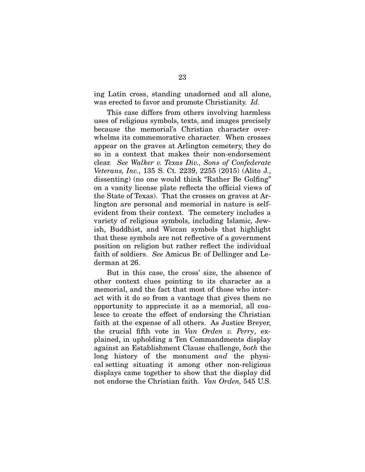ing Latin cross, standing unadorned and all alone, was erected to favor and promote Christianity. *Id.*

This case differs from others involving harmless uses of religious symbols, texts, and images precisely because the memorial's Christian character overwhelms its commemorative character. When crosses appear on the graves at Arlington cemetery, they do so in a context that makes their non-endorsement clear. *See Walker v. Texas Div., Sons of Confederate Veterans, Inc.*, 135 S. Ct. 2239, 2255 (2015) (Alito J., dissenting) (no one would think "Rather Be Golfing" on a vanity license plate reflects the official views of the State of Texas). That the crosses on graves at Arlington are personal and memorial in nature is selfevident from their context. The cemetery includes a variety of religious symbols, including Islamic, Jewish, Buddhist, and Wiccan symbols that highlight that these symbols are not reflective of a government position on religion but rather reflect the individual faith of soldiers. *See* Amicus Br. of Dellinger and Lederman at 26.

But in this case, the cross' size, the absence of other context clues pointing to its character as a memorial, and the fact that most of those who interact with it do so from a vantage that gives them no opportunity to appreciate it as a memorial, all coalesce to create the effect of endorsing the Christian faith at the expense of all others. As Justice Breyer, the crucial fifth vote in *Van Orden v. Perry*, explained, in upholding a Ten Commandments display against an Establishment Clause challenge, *both* the long history of the monument *and* the physical setting situating it among other non-religious displays came together to show that the display did not endorse the Christian faith. *Van Orden,* 545 U.S.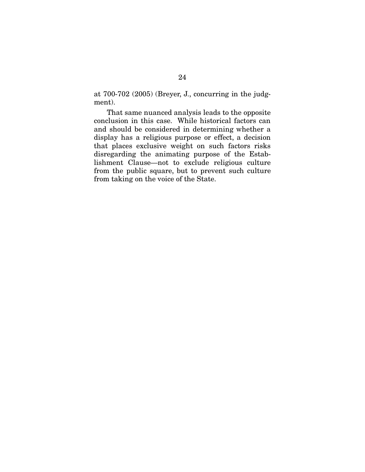at 700-702 (2005) (Breyer, J., concurring in the judgment).

That same nuanced analysis leads to the opposite conclusion in this case. While historical factors can and should be considered in determining whether a display has a religious purpose or effect, a decision that places exclusive weight on such factors risks disregarding the animating purpose of the Establishment Clause—not to exclude religious culture from the public square, but to prevent such culture from taking on the voice of the State.